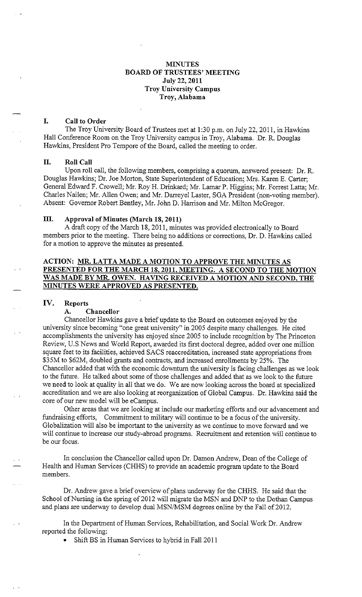# **MINUTES BOARD OF TRUSTEES' MEETING July 22, 2011 Troy University Campus Troy, Alabama**

# **I. Call to Order**

The Troy University Board of Trustees met at 1:30 p.m. on July 22, 2011, in Hawkins Hall Conference Room on the Troy University campus in Troy, Alabama. Dr. R. Douglas Hawkins, President Pro Tempore of the Board, called the meeting to order.

## **II. Roll Call**

Upon roll call, the following members, comprising a quorum, answered present: Dr. R. Douglas Hawkins; Dr. Joe Morton, State Superintendent of Education; Mrs. Karen E. Carter; General Edward F. Crowell; Mr. Roy H. Drinkard; Mr. Lamar P. Higgins; Mr. Forrest Latta; Mr. Charles Nailen; Mr. Allen Owen; and Mr. Darreyel Laster, SGA President (non-voting member). Absent: Governor Robert Bentley, Mr. John D. Harrison and Mr. Milton McGregor.

## **III. Approval of Minutes (March 18, 2011)**

A draft copy of the March 18, 2011, minutes was provided electronically to Board members prior to the meeting. There being no additions or corrections, Dr. D. Hawkins called for a motion to approve the minutes as presented.

# **ACTION: MR. LATTA MADE A MOTION TO APPROVE THE MINUTES AS PRESENTED FOR THE MARCH 18, 2011, MEETING. A SECOND TO THE MOTION WAS MADE BY MR. OWEN. HAVING RECEIVED A MOTION AND SECOND, THE MINUTES WERE APPROVED AS PRESENTED.**

#### **IV. Reports**

#### **A. Chancellor**

Chancellor Hawkins gave a brief update to the Board on outcomes enjoyed by the university since becoming "one great university" in 2005 despite many challenges. He cited accomplishments the university has enjoyed since 2005 to include recognition by The Princeton Review, U.S News and World Report, awarded its first doctoral degree, added over one million square feet to its facilities, achieved SACS reaccreditation, increased state appropriations from \$35M to \$62M, doubled grants and contracts, and increased enrollments by 25%. The Chancellor added that with the economic downturn the university is facing challenges as we look to the future. He talked about some of those challenges and added that as we look to the future we need to look at quality in all that we do. We are now looking across the board at specialized accreditation and we are also looking at reorganization of Global Campus. Dr. Hawkins said the core of our new model will be eCampus.

Other areas that we are looking at include our marketing efforts and our advancement and fundraising efforts, Commitment to military will continue to be a focus of the university. Globalization will also be important to the university as we continue to move forward and we will continue to increase our study-abroad programs. Recruitment and retention will continue to be our focus.

In conclusion the Chancellor called upon Dr. Damon Andrew, Dean of the College of Health and Human Services (CHHS) to provide an academic program update to the Board members.

Dr. Andrew gave a brief overview of plans underway for the CHHS. He said that the School of Nursing in the spring of 2012 will migrate the MSN and DNP to the Dothan Campus and plans are underway to develop dual MSN/MSM degrees online by the Fall of 2012.

**In**the Department of Human Services, Rehabilitation, and Social Work Dr. Andrew reported the following:

• Shift BS in Human Services to hybrid in Fall 2011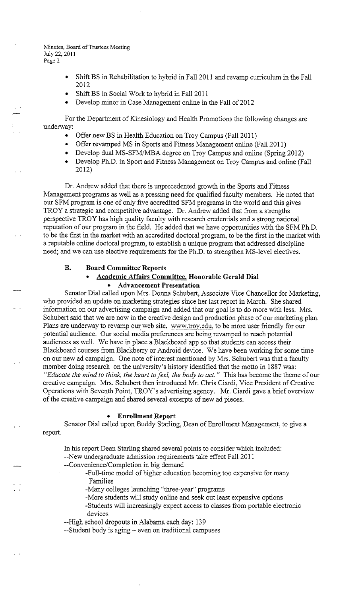- Shift BS in Rehabilitation to hybrid in Fall 2011 and revamp curriculum in the Fall 2012
- Shift BS in Social Work to hybrid in Fall 2011
- Develop minor in Case Management online in the Fall of 2012

For the Department of Kinesiology and Health Promotions the following changes are underway:

- Offer new BS in Health Education on Troy Campus (Fall 2011)
- Offer revamped MS in Sports and Fitness Management online (Fall 2011)
- Develop dual MS-SFM/MBA degree on Troy Campus and online (Spring 2012)
- Develop Ph.D. in Sport and Fitness Management on Troy Campus and online (Fall 2012)

Dr. Andrew added that there is unprecedented growth in the Sports and Fitness Management programs as well as a pressing need for qualified faculty members. He noted that our SFM program is one of only five accredited SFM programs in the world and this gives TROY a strategic and competitive advantage. Dr. Andrew added that from a strengths perspective TROY has high quality faculty with research credentials and a strong national reputation of our program in the field. He added that we have opportunities with the SFM Ph.D. to be the first in the market with an accredited doctoral program, to be the first in the market with a reputable online doctoral program, to establish a unique program that addressed discipline need; and we can use elective requirements for the Ph.D. to strengthen MS-level electives.

## **B. Board Committee Reports**

# • **Academic Affairs Committee, Honorable Gerald Dial**  • **Advancement Presentation**

Senator Dial called upon Mrs. Donna Schubert, Associate Vice Chancellor for Marketing, who provided an update on marketing strategies since her last report in March. She shared information on our advertising campaign and added that our goal is to do more with less. Mrs. Schubert said that we are now in the creative design and production phase of our marketing plan. Plans are underway to revamp our web site, <www.troy.edu>, to be more user friendly for our potential audience. Our social media preferences are being revamped to reach potential audiences as well. We have in place a Blackboard app so that students can access their Blackboard courses from Blackberry or Android device. We have been working for some time on our new ad campaign. One note of interest mentioned by Mrs. Schubert was that a faculty member doing research on the university's history identified that the motto in 1887 was: *"Educate the mind to think, the heart to feel, the body to act.* " This has become the theme of our creative campaign. Mrs. Schubert then introduced Mr. Chris Ciardi, Vice President of Creative Operations with Seventh Point, TROY's advertising agency. Mr. Ciardi gave a brief overview of the creative campaign and shared several excerpts of new ad pieces.

## • **Enrollment Report**

Senator Dial called upon Buddy Starling, Dean of Enrollment Management, to give a report.

In his report Dean Starling shared several points to consider which included:

--New undergraduate admission requirements take effect Fall 2011

--Convenience/Completion in big demand

-Full-time model of higher education becoming too expensive for many Families

-Many colleges launching "three-year" programs

-More students will study online and seek out least expensive options

-Students will increasingly expect access to classes from portable electronic devices

--High school dropouts in Alabama each day: 139

--Student body is aging – even on traditional campuses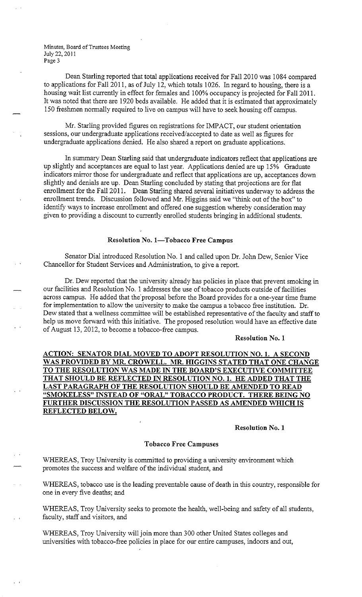Dean Starling reported that total applications received for Fall 2010 was 1084 compared to applications for Fall 2011, as of July 12, which totals 1026. In regard to housing, there is a housing wait list currently in effect for females and 100% occupancy is projected for Fall 2011. It was noted that there are 1920 beds available. He added that it is estimated that approximately 150 freshmen normally required to live on campus will have to seek housing off campus.

Mr. Starling provided figures on registrations for IMPACT, our student orientation sessions, our undergraduate applications received/accepted to date as well as figures for undergraduate applications denied. He also shared a report on graduate applications.

In summary Dean Starling said that undergraduate indicators reflect that applications are up slightly and acceptances are equal to last year. Applications denied are up 15% Graduate indicators mirror those for undergraduate and reflect that applications are up, acceptances down slightly and denials are up. Dean Starling concluded by stating that projections are for flat enrollment for the Fall 2011. Dean Starling shared several initiatives underway to address the enrollment trends. Discussion followed and Mr. Higgins said we "think out of the box" to identify ways to increase enrollment and offered one suggestion whereby consideration may given to providing a discount to currently enrolled students bringing in additional students.

#### **Resolution No. 1-Tobacco Free Campus**

Senator Dial introduced Resolution No. 1 and called upon Dr. John Dew, Senior Vice Chancellor for Student Services and Administration, to give a report.

Dr. Dew reported that the university already has policies in place that prevent smoking in our facilities and Resolution No. 1 addresses the use of tobacco products outside of facilities across campus. He added that the' proposal before the Board provides for a one-year time frame for implementation to allow the university to make the campus a tobacco free institution. Dr. Dew stated that a wellness committee will be established representative of the faculty and staff to help us move forward with this initiative. The proposed resolution would have an effective date of August 13, 2012, to become a tobacco-free campus.

## **Resolution No. 1**

**ACTION: SENATOR DIAL MOVED TO ADOPT RESOLUTION NO. 1. A SECOND WAS PROVIDED BY MR. CROWELL. MR. HIGGINS STATED THAT ONE CHANGE TO THE RESOLUTION WAS MADE IN THE BOARD'S EXECUTIVE COMMITTEE THAT SHOULD BE REFLECTED IN RESOLUTION NO. 1. HE ADDED THAT THE LAST PARA GRAPH OF THE RESOLUTION SHOULD BE AMENDED TO READ "SMOKELESS" INSTEAD OF "ORAL" TOBACCO PRODUCT. THERE BEING NO FURTHER DISCUSSION THE RESOLUTION PASSED AS AMENDED WHICH IS REFLECTED BELOW.** 

## **Resolution No. 1**

## **Tobacco Free Campuses**

WHEREAS, Troy University is committed to providing a university environment which promotes the success and welfare of the individual student, and

WHEREAS, tobacco use is the leading preventable cause of death in this country, responsible for one in every five deaths; and

WHEREAS, Troy University seeks to promote the health, well-being and safety of all students, faculty, staff and visitors, and

WHEREAS, Troy University will join more than 300 other United States colleges and universities with tobacco-free policies in place for our entire campuses, indoors and out,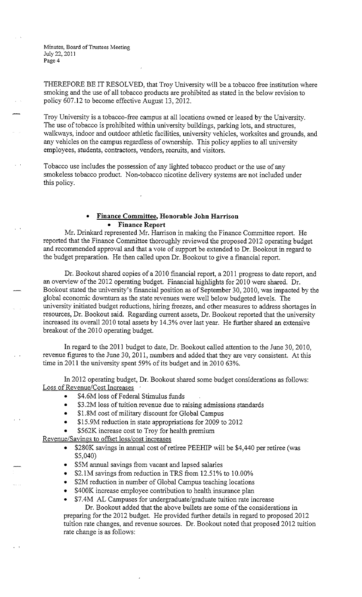THEREFORE BE IT RESOLVED, that Troy University will be a tobacco free institution where smoking and the use of all tobacco products are prohibited as stated in the below revision to policy 607.12 to become effective August 13, 2012.

Troy University is a tobacco-free campus at all locations owned or leased by the University. The use of tobacco is prohibited within university buildings, parking lots, and structures, walkways, indoor and outdoor athletic facilities, university vehicles, worksites and grounds, and any vehicles on the campus regardless of ownership. This policy applies to all university employees, students, contractors, vendors, recruits, and visitors.

Tobacco use includes the possession of any lighted tobacco product or the use of any smokeless tobacco product. Non-tobacco nicotine delivery systems are not included under this policy.

# • **Finance Committee, Honorable John Harrison**  • **Finance Report**

Mr. Drinkard represented Mr. Harrison in making the Finance Committee report. He reported that the Finance Committee thoroughly reviewed the proposed 2012 operating budget and recommended approval and that a vote of support be extended to Dr. Bookout in regard to the budget preparation. He then called upon Dr. Bookout to give a financial report.

Dr. Bookout shared copies of a 2010 financial report, a 2011 progress to date report, and an overview of the 2012 operating budget. Financial highlights for 2010 were shared. Dr. Bookout stated the university's financial position as of September 30, 2010, was impacted by the global economic downturn as the state revenues were well below budgeted levels. The university initiated budget reductions, hiring freezes, and other measures to address shortages in resources, Dr. Bookout said. Regarding current assets, Dr. Bookout reported that the university increased its overall 2010 total assets by 14.3% over last year. He further shared an extensive breakout of the 2010 operating budget.

In regard to the 2011 budget to date, Dr. Bookout called attention to the June 30, 2010, revenue figures to the June 30, 2011, numbers and added that they are very consistent. At this time in 2011 the university spent 59% of its budget and in 2010 63%.

In 2012 operating budget, Dr. Bookout shared some budget considerations as follows: Loss of Revenue/Cost Increases

- \$4.6M loss of Federal Stimulus funds
- \$3.2M loss of tuition revenue due to raising admissions standards
- \$1.8M cost of military discount for Global Campus
- \$15.9M reduction in state appropriations for 2009 to 2012
- \$562K increase cost to Troy for health premium

Revenue/Savings to offset loss/cost increases

- \$280K savings in annual cost of retiree PEEHIP will be \$4,440 per retiree (was \$5,040)
- \$5M annual savings from vacant and lapsed salaries
- \$2.1M savings from reduction in TRS from 12.51% to 10.00%
- \$2M reduction **in** number of Global Campus teaching locations
- \$400K increase employee contribution to health insurance plan
- \$7.4M AL Campuses for undergraduate/graduate tuition rate increase

Dr. Bookout added that the above bullets are some of the considerations in preparing for the 2012 budget. He provided further details in regard to proposed 2012 tuition rate changes, and revenue sources. Dr. Bookout noted that proposed 2012 tuition rate change is as follows: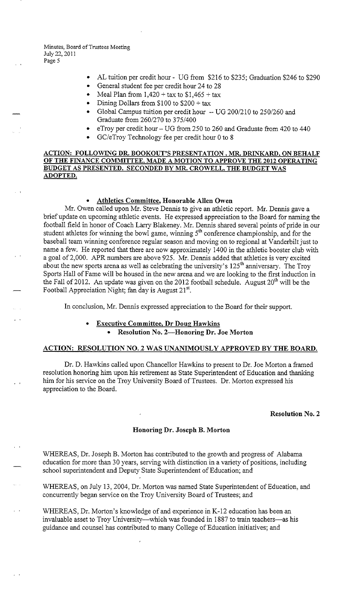- AL tuition per credit hour UG from \$216 to \$235; Graduation \$246 to \$290
- General student fee per credit hour 24 to 28
- Meal Plan from  $1,420 + \text{tax to } $1,465 + \text{tax}$
- Dining Dollars from \$100 to \$200 + tax
- Global Campus tuition per credit hour -- UG 200/210 to 250/260 and Graduate from 260/270 to 375/400
- eTroy per credit hour UG from 250 to 260 and Graduate from 420 to 440
- GC/eTroy Technology fee per credit hour 0 to 8

**ACTION: FOLLOWING DR. BOOKOUT'S PRESENTATION. MR. DRINKARD, ON BEHALF OF THE FINANCE COMMITTEE. MADE A MOTION TO APPROVE THE 2012 OPERATING BUDGET AS PRESENTED. SECONDED BY MR. CROWELL. THE BUDGET WAS ADOPTED.** 

## • **Athletics Committee, Honorable Allen Owen**

Mr. Owen called upon Mr. Steve Dennis to give an athletic report. Mr. Dennis gave a brief update on upcoming athletic events. He expressed appreciation to the Board for naming the football field in honor of Coach Larry Blakeney. Mr. Dennis shared several points of pride in our student athletes for winning the bowl game, winning  $5<sup>th</sup>$  conference championship, and for the baseball team winning conference regular season and moving on to regional at Vanderbilt just to name a few. He reported that there are now approximately 1400 in the athletic booster club with a goal of2,000. APR numbers are above 925. Mr. Dennis added that athletics is very excited about the new sports arena as well as celebrating the university's  $125<sup>th</sup>$  anniversary. The Troy Sports Hall of Fame will be housed in the new arena and we are looking to the first induction in the Fall of 2012. An update was given on the 2012 football schedule. August  $20<sup>th</sup>$  will be the Football Appreciation Night; fan day is August 21<sup>st</sup>.

In conclusion, Mr. Dennis expressed appreciation to the Board for their support.

# • **Executive Committee, Dr Doug Hawkins**  • **Resolution No. 2-Honoring Dr. Joe Morton**

## **ACTION: RESOLUTION NO. 2 WAS UNANIMOUSLY APPROVED BY THE BOARD.**

Dr. D. Hawkins called upon Chancellor Hawkins to present to Dr. Joe Morton a framed resolution honoring him upon his retirement as State Superintendent of Education and thanking him for his service on the Troy University Board of Trustees. Dr. Morton expressed his appreciation to the Board.

#### **Resolution No. 2**

## **Honoring Dr. Joseph B. Morton**

WHEREAS, Dr. Joseph B. Morton has contributed to the growth and progress of Alabama education for more than 30 years, serving with distinction in a variety of positions, including school superintendent and Deputy State Superintendent of Education; and

WHEREAS, on July 13, 2004, Dr. Morton was named State Superintendent of Education, and concurrently began service on the Troy University Board of Trustees; and

WHEREAS, Dr. Morton's knowledge of and experience in K-12 education has been an invaluable asset to Troy University—which was founded in 1887 to train teachers—as his guidance and counsel has contributed to many College of Education initiatives; and

 $\cdots$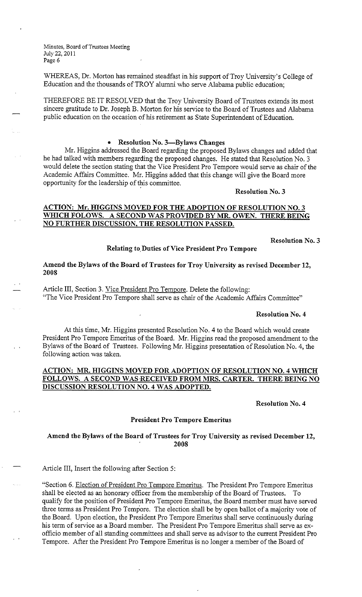WHEREAS, Dr. Morton has remained steadfast in his support of Troy University's College of Education and the thousands of TROY alumni who serve Alabama public education;

THEREFORE BE IT RESOLVED that the Troy University Board of Trustees extends its most sincere gratitude to Dr. Joseph B. Morton for his service to the Board of Trustees and Alabama public education on the occasion of his retirement as State Superintendent of Education.

## • **Resolution No. 3-Bylaws Changes**

Mr. Higgins addressed the Board regarding the proposed Bylaws changes and added that he had talked with members regarding the proposed changes. He stated that Resolution No. 3 would delete the section stating that the Vice President Pro Tempore would serve as chair of the Academic Affairs Committee. Mr. Higgins added that this change will give the Board more opportunity for the leadership of this committee.

#### **Resolution No. 3**

# **ACTION: Mr. HIGGINS MOVED FOR THE ADOPTION OF RESOLUTION NO. 3 WHICH FOLOWS. A SECOND WAS PROVIDED BY MR. OWEN. THERE BEING NO FURTHER DISCUSSION, THE RESOLUTION PASSED.**

**Resolution No. 3** 

## **Relating to.Duties of Vice President Pro Tempore**

## **Amend the Bylaws of the Board of Trustees for Troy University as revised December 12, 2008**

Article III, Section 3. Vice President Pro Tempore. Delete the following: "The Vice President Pro Tempore shall serve as chair of the Academic Affairs Committee"

#### **Resolution No. 4**

At this time, Mr. Higgins presented Resolution No. 4 to the Board which would create President Pro Tempore Emeritus of the Board. Mr. Higgins read the proposed amendment to the Bylaws of the Board of Trustees. Following Mr. Higgins presentation of Resolution No. 4, the following action was taken.

# **ACTION: MR. HIGGINS MOVED FOR ADOPTION OF RESOLUTION NO. 4 WHICH FOLLOWS. A SECOND WAS-RECEIVED FROM MRS. CARTER. THERE BEING NO DISCUSSION RESOLUTION NO. 4 WAS ADOPTED.**

## **Resolution No. 4**

#### **President Pro Tempore Emeritus**

## **Amend the Bylaws of the Board of Trustees for Troy University as revised December 12, 2008**

Article III, Insert the following after Section 5:

"Section 6. Election of President Pro Tempore Emeritus. The President Pro Tempore Emeritus shall be elected as an honorary officer from the membership of the Board of Trustees. To qualify for the position of President Pro Tempore Emeritus, the Board member must have served three terms as President Pro Tempore. The election shall be by open ballot of a majority vote of the Board. Upon election, the President Pro Tempore Emeritus shall serve continuously during his term of service as a Board member. The President Pro Tempore Emeritus shall serve as exofficio member of all standing committees and shall serve as advisor to the current President Pro Tempore. After the President Pro Tempore Emeritus is no longer a member of the Board of